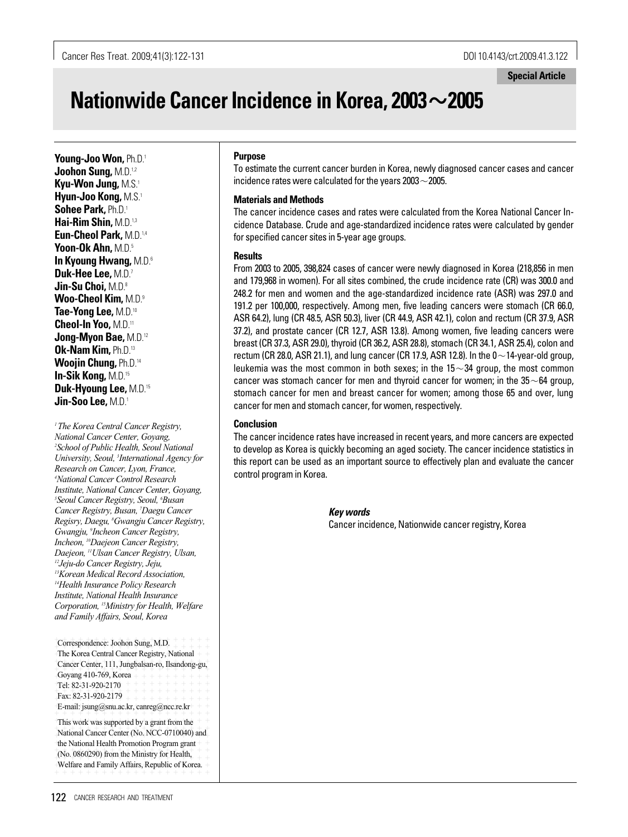# **Nationwide Cancer Incidence in Korea, 2003**�**2005**

**Young-Joo Won,** Ph.D.1 **Joohon Sung,** M.D.1,2 **Kyu-Won Jung,** M.S.1 **Hyun-Joo Kong,** M.S.1 **Sohee Park,** Ph.D.1 **Hai-Rim Shin,** M.D.1,3 **Eun-Cheol Park,** M.D.1,4 **Yoon-Ok Ahn,** M.D.5 **In Kyoung Hwang,** M.D.6 **Duk-Hee Lee,** M.D.7 **Jin-Su Choi,** M.D.8 **Woo-Cheol Kim,** M.D.9 **Tae-Yong Lee,** M.D.10 **Cheol-In Yoo,** M.D.11 **Jong-Myon Bae,** M.D.12 **Ok-Nam Kim,** Ph.D.13 **Woojin Chung,** Ph.D.14 **In-Sik Kong,** M.D.15 **Duk-Hyoung Lee,** M.D.15 **Jin-Soo Lee,** M.D.1

*1 The Korea Central Cancer Registry, National Cancer Center, Goyang, 2 School of Public Health, Seoul National University, Seoul, 3 International Agency for Research on Cancer, Lyon, France, 4 National Cancer Control Research Institute, National Cancer Center, Goyang, 5 Seoul Cancer Registry, Seoul, 6 Busan Cancer Registry, Busan, 7 Daegu Cancer Regisry, Daegu, 8 Gwangju Cancer Registry, Gwangju, 9 Incheon Cancer Registry, Incheon, 10Daejeon Cancer Registry, Daejeon, 11Ulsan Cancer Registry, Ulsan, 12Jeju-do Cancer Registry, Jeju, 13Korean Medical Record Association, 14Health Insurance Policy Research Institute, National Health Insurance Corporation, 15Ministry for Health, Welfare and Family Affairs, Seoul, Korea*

Correspondence: Joohon Sung, M.D. + + + + + + + The Korea Central Cancer Registry, National + + Cancer Center, 111, Jungbalsan-ro, Ilsandong-gu, Goyang 410-769, Korea  $+ + + + + + + + + + + +$  $+$  Tel: 82-31-920-2170  $+$  + + + + + + + + + + + Fax: 82-31-920-2179 + + + + + + + + + + + + + + + + + + + + + + + + + + + + + + + + + + + + + + + + + + + + + + + + + + + + + + + + + + + + E-mail: jsung@snu.ac.kr, canreg@ncc.re.kr

This work was supported by a grant from the  $+$ + + + + + + + + + + + + + + + + + + + + + + + + + + + + + + + + + + + + + + + + National Cancer Center (No. NCC-0710040) and  $+$ the National Health Promotion Program grant $+$  $(No. 0860290)$  from the Ministry for Health,  $+$ Welfare and Family Affairs, Republic of Korea.  $+$ 

#### **Purpose**

To estimate the current cancer burden in Korea, newly diagnosed cancer cases and cancer incidence rates were calculated for the years 2003 $\sim$ 2005.

## **Materials and Methods**

The cancer incidence cases and rates were calculated from the Korea National Cancer Incidence Database. Crude and age-standardized incidence rates were calculated by gender for specified cancer sites in 5-year age groups.

### **Results**

From 2003 to 2005, 398,824 cases of cancer were newly diagnosed in Korea (218,856 in men and 179,968 in women). For all sites combined, the crude incidence rate (CR) was 300.0 and 248.2 for men and women and the age-standardized incidence rate (ASR) was 297.0 and 191.2 per 100,000, respectively. Among men, five leading cancers were stomach (CR 66.0, ASR 64.2), lung (CR 48.5, ASR 50.3), liver (CR 44.9, ASR 42.1), colon and rectum (CR 37.9, ASR 37.2), and prostate cancer (CR 12.7, ASR 13.8). Among women, five leading cancers were breast (CR 37.3, ASR 29.0), thyroid (CR 36.2, ASR 28.8), stomach (CR 34.1, ASR 25.4), colon and rectum (CR 28.0, ASR 21.1), and lung cancer (CR 17.9, ASR 12.8). In the  $0\sim$  14-year-old group, leukemia was the most common in both sexes; in the  $15{\sim}34$  group, the most common cancer was stomach cancer for men and thyroid cancer for women; in the  $35 \sim 64$  group, stomach cancer for men and breast cancer for women; among those 65 and over, lung cancer for men and stomach cancer, for women, respectively.

## **Conclusion**

The cancer incidence rates have increased in recent years, and more cancers are expected to develop as Korea is quickly becoming an aged society. The cancer incidence statistics in this report can be used as an important source to effectively plan and evaluate the cancer control program in Korea.

> *Key words* Cancer incidence, Nationwide cancer registry, Korea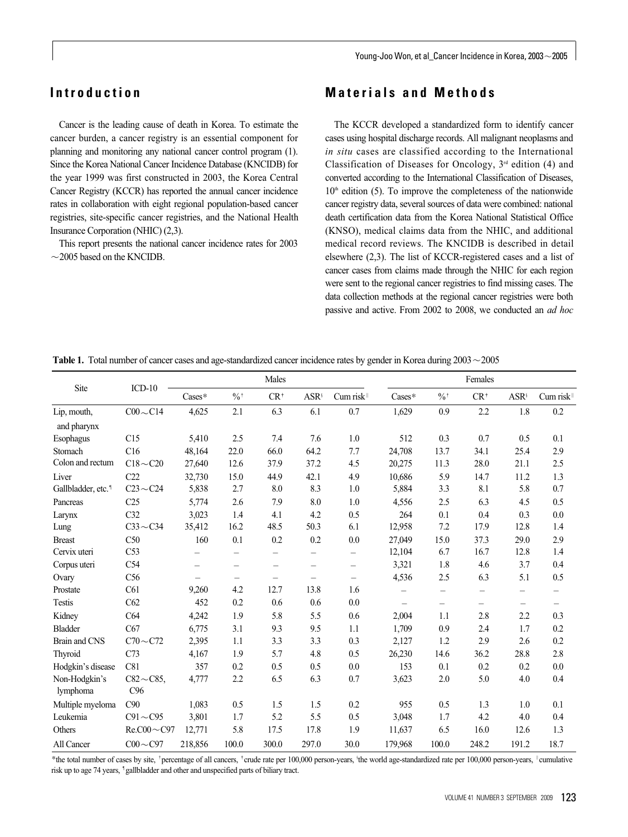Young-Joo Won, et al\_Cancer Incidence in Korea, 2003 $\sim$ 2005

# **Introduction**

Cancer is the leading cause of death in Korea. To estimate the cancer burden, a cancer registry is an essential component for planning and monitoring any national cancer control program (1). Since the Korea National Cancer Incidence Database (KNCIDB) for the year 1999 was first constructed in 2003, the Korea Central Cancer Registry (KCCR) has reported the annual cancer incidence rates in collaboration with eight regional population-based cancer registries, site-specific cancer registries, and the National Health Insurance Corporation (NHIC) (2,3).

This report presents the national cancer incidence rates for 2003  $\sim$ 2005 based on the KNCIDB.

## **Materials and Methods**

The KCCR developed a standardized form to identify cancer cases using hospital discharge records. All malignant neoplasms and *in situ* cases are classified according to the International Classification of Diseases for Oncology,  $3<sup>rd</sup>$  edition (4) and converted according to the International Classification of Diseases,  $10<sup>th</sup>$  edition (5). To improve the completeness of the nationwide cancer registry data, several sources of data were combined: national death certification data from the Korea National Statistical Office (KNSO), medical claims data from the NHIC, and additional medical record reviews. The KNCIDB is described in detail elsewhere (2,3). The list of KCCR-registered cases and a list of cancer cases from claims made through the NHIC for each region were sent to the regional cancer registries to find missing cases. The data collection methods at the regional cancer registries were both passive and active. From 2002 to 2008, we conducted an *ad hoc*

|                                |                         |                   |                          | Males                    |                          |                          |                          |                            | Females                  |                          |                          |
|--------------------------------|-------------------------|-------------------|--------------------------|--------------------------|--------------------------|--------------------------|--------------------------|----------------------------|--------------------------|--------------------------|--------------------------|
| Site                           | $ICD-10$                | Cases*            | $\%$                     | $CR^*$                   | $ASR^s$                  | Cum risk <sup>1</sup>    | $\text{Cases}^*$         | $\frac{0}{0}$ <sup>+</sup> | $CR^{\dagger}$           | $ASR^s$                  | Cum risk                 |
| Lip, mouth,                    | $C00 \sim C14$          | 4,625             | 2.1                      | 6.3                      | 6.1                      | 0.7                      | 1,629                    | 0.9                        | 2.2                      | 1.8                      | 0.2                      |
| and pharynx                    | C15                     | 5,410             | 2.5                      | 7.4                      | 7.6                      | 1.0                      | 512                      | 0.3                        | 0.7                      | 0.5                      | 0.1                      |
| Esophagus<br>Stomach           |                         |                   |                          |                          |                          |                          | 24,708                   |                            |                          |                          |                          |
| Colon and rectum               | C16<br>$C18 \sim C20$   | 48,164            | 22.0<br>12.6             | 66.0<br>37.9             | 64.2<br>37.2             | 7.7<br>4.5               |                          | 13.7<br>11.3               | 34.1<br>28.0             | 25.4<br>21.1             | 2.9<br>2.5               |
|                                |                         | 27,640            |                          |                          |                          |                          | 20,275                   |                            |                          |                          |                          |
| Liver                          | C22                     | 32,730            | 15.0                     | 44.9                     | 42.1                     | 4.9                      | 10,686                   | 5.9                        | 14.7                     | 11.2                     | 1.3                      |
| Gallbladder, etc. <sup>1</sup> | $C23 \sim C24$          | 5,838             | 2.7                      | 8.0                      | 8.3                      | 1.0                      | 5,884                    | 3.3                        | 8.1                      | 5.8                      | 0.7                      |
| Pancreas                       | C <sub>25</sub>         | 5,774             | 2.6                      | 7.9                      | 8.0                      | 1.0                      | 4,556                    | 2.5                        | 6.3                      | 4.5                      | 0.5                      |
| Larynx                         | C <sub>32</sub>         | 3,023             | 1.4                      | 4.1                      | 4.2                      | 0.5                      | 264                      | 0.1                        | 0.4                      | 0.3                      | 0.0                      |
| Lung                           | $C33 \sim C34$          | 35,412            | 16.2                     | 48.5                     | 50.3                     | 6.1                      | 12,958                   | 7.2                        | 17.9                     | 12.8                     | 1.4                      |
| <b>Breast</b>                  | C50                     | 160               | 0.1                      | 0.2                      | 0.2                      | 0.0                      | 27,049                   | 15.0                       | 37.3                     | 29.0                     | 2.9                      |
| Cervix uteri                   | C <sub>53</sub>         | $\qquad \qquad -$ | $\qquad \qquad -$        | -                        | $\overline{\phantom{0}}$ | $\overline{\phantom{0}}$ | 12,104                   | 6.7                        | 16.7                     | 12.8                     | 1.4                      |
| Corpus uteri                   | C54                     | $\qquad \qquad -$ | $\overline{\phantom{0}}$ | $\overline{\phantom{0}}$ | $\overline{\phantom{0}}$ | $\overline{\phantom{0}}$ | 3,321                    | 1.8                        | 4.6                      | 3.7                      | 0.4                      |
| Ovary                          | C56                     |                   | $\qquad \qquad -$        | $\overline{\phantom{0}}$ | $\overline{\phantom{0}}$ | $\overline{\phantom{0}}$ | 4,536                    | 2.5                        | 6.3                      | 5.1                      | 0.5                      |
| Prostate                       | C61                     | 9,260             | 4.2                      | 12.7                     | 13.8                     | 1.6                      | $\overline{\phantom{0}}$ | $\overline{\phantom{m}}$   | $\overline{\phantom{0}}$ | $\overline{\phantom{0}}$ | $\overline{\phantom{0}}$ |
| <b>Testis</b>                  | C62                     | 452               | 0.2                      | 0.6                      | 0.6                      | 0.0                      | $\overline{\phantom{0}}$ | $\overline{\phantom{0}}$   | $\overline{\phantom{0}}$ | $\overline{\phantom{0}}$ | $\overline{\phantom{0}}$ |
| Kidney                         | C <sub>64</sub>         | 4,242             | 1.9                      | 5.8                      | 5.5                      | 0.6                      | 2,004                    | 1.1                        | 2.8                      | 2.2                      | 0.3                      |
| <b>Bladder</b>                 | C67                     | 6,775             | 3.1                      | 9.3                      | 9.5                      | 1.1                      | 1,709                    | 0.9                        | 2.4                      | 1.7                      | 0.2                      |
| Brain and CNS                  | $C70 \sim C72$          | 2,395             | 1.1                      | 3.3                      | 3.3                      | 0.3                      | 2,127                    | 1.2                        | 2.9                      | 2.6                      | 0.2                      |
| Thyroid                        | C73                     | 4,167             | 1.9                      | 5.7                      | 4.8                      | 0.5                      | 26,230                   | 14.6                       | 36.2                     | 28.8                     | 2.8                      |
| Hodgkin's disease              | C81                     | 357               | 0.2                      | 0.5                      | 0.5                      | 0.0                      | 153                      | 0.1                        | 0.2                      | 0.2                      | 0.0                      |
| Non-Hodgkin's<br>lymphoma      | $C82 \sim C85$ ,<br>C96 | 4,777             | 2.2                      | 6.5                      | 6.3                      | 0.7                      | 3,623                    | 2.0                        | 5.0                      | 4.0                      | 0.4                      |
| Multiple myeloma               | C90                     | 1,083             | 0.5                      | 1.5                      | 1.5                      | 0.2                      | 955                      | 0.5                        | 1.3                      | 1.0                      | 0.1                      |
| Leukemia                       | $C91 \sim C95$          | 3,801             | 1.7                      | 5.2                      | 5.5                      | 0.5                      | 3,048                    | 1.7                        | 4.2                      | 4.0                      | 0.4                      |
| <b>Others</b>                  | $ReCO0 \sim C97$        | 12,771            | 5.8                      | 17.5                     | 17.8                     | 1.9                      | 11,637                   | 6.5                        | 16.0                     | 12.6                     | 1.3                      |
| All Cancer                     | $C00 \sim C97$          | 218,856           | 100.0                    | 300.0                    | 297.0                    | 30.0                     | 179,968                  | 100.0                      | 248.2                    | 191.2                    | 18.7                     |

**Table 1.** Total number of cancer cases and age-standardized cancer incidence rates by gender in Korea during 2003 $\sim$ 2005

\*the total number of cases by site, 'percentage of all cancers, 'crude rate per 100,000 person-years, 'the world age-standardized rate per 100,000 person-years, 'cumulative risk up to age 74 years, <sup>1</sup>gallbladder and other and unspecified parts of biliary tract.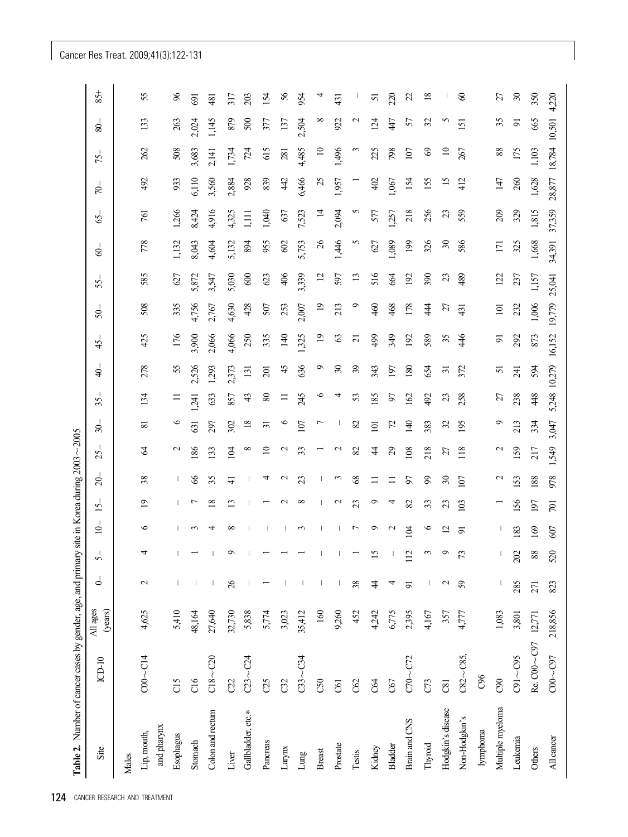# Cancer Res Treat. 2009;41(3):122-131

| Site               | $ICD-10$             | All ages<br>(years) | $\triangle$    | ή               | $\overline{q}$  | 15              | $\approx$       | 25                          | $\approx$       | 35.       | $\ddot{\mathsf{a}}$      | 45             | $\overline{5}$   | 55.            | $\mathcal{S}$ | $\mathcal{S}$  | R       | 75.             | $\otimes$      | $85 +$ |
|--------------------|----------------------|---------------------|----------------|-----------------|-----------------|-----------------|-----------------|-----------------------------|-----------------|-----------|--------------------------|----------------|------------------|----------------|---------------|----------------|---------|-----------------|----------------|--------|
| Males              |                      |                     |                |                 |                 |                 |                 |                             |                 |           |                          |                |                  |                |               |                |         |                 |                |        |
| Lip, mouth,        | $COO \sim C14$       | 4,625               | $\mathbf{C}$   |                 | $\circ$         | $\overline{19}$ | 38              | $\mathcal{R}$               | $\overline{8}$  | 134       | 278                      | 425            | 508              | 585            | 778           | 761            | 492     | 262             | 133            |        |
| and pharynx        |                      |                     |                |                 |                 |                 |                 |                             |                 |           |                          |                |                  |                |               |                |         |                 |                |        |
| Esophagus          | C15                  | 5,410               |                |                 |                 |                 | Ш               | $\mathbf{c}$                | $\circ$         | ≍         | 55                       | 176            | 335              | 627            | 1,132         | 1,266          | 933     | 508             | 263            |        |
| Stomach            | C16                  | 48,164              |                |                 | $\mathfrak{g}$  | ↽               | 8               | 186                         | 631             | 1,241     | 2,526                    | 3,900          | 4,756            | 5,872          | 8,043         | 8,424          | 6,110   | 3,683           | 2,024          | 691    |
| Colon and rectum   | $C18 - C20$          | 27,640              |                |                 | ᆉ               | $\frac{8}{2}$   | 35              | 133                         | 297             | 633       | 1,293                    | 2,066          | 2,767            | 3,547          | 4,604         | 4,916          | 3,560   | 2,141           | 1,145          | 481    |
| Liver              | C22                  | 32,730              | 26             |                 | $^{\circ}$      | $\mathbf{r}$    | $\frac{1}{4}$   | 104                         | 302             | 857       | 2,373                    | 4,066          | 4,630            | 5,030          | 5,132         | 4,325          | 2,884   | 1,734           | 879            | 317    |
| Gallbladder, etc.* | $C23 - C24$          | 5,838               |                |                 |                 |                 |                 | $^{\circ}$                  | $\overline{18}$ | 43        | 131                      | 250            | 428              | $600\,$        | 894           | ijЦ            | 928     | 724             | 500            | 203    |
| Pancreas           | C25                  | 5,774               |                |                 |                 |                 | 4               | $\supseteq$                 | $\overline{31}$ | $\pmb{8}$ | 201                      | 335            | 507              | 623            | 955           | 1,040          | 839     | 615             | 377            |        |
| Larynx             | C32                  | 3,023               |                |                 |                 |                 | $\mathbf{\sim}$ | $\mathbf{\sim}$             | $\circ$         | $\equiv$  | 45                       | 140            | 253              | 406            | $602$         | 637            | 42      | 281             | 137            |        |
| Lung               | $C33 - C34$          | 35,412              |                |                 | $\mathfrak{c}$  | $\infty$        | 23              | 33                          | 107             | 245       | 636                      | 1,325          | 2,007            | 3,339          | 5,753         | 7,523          | 6,466   | 4,485           | 2,504          | 954    |
| Breast             | C50                  | 160                 |                |                 |                 |                 |                 |                             | $\overline{ }$  | ७         | $\sigma$                 | $\overline{0}$ | $\overline{19}$  | $\overline{c}$ | $26$          | $\overline{4}$ | 25      | $\overline{10}$ | $^{\circ}$     |        |
| Prostate           | <b>C61</b>           | 9,260               |                |                 |                 | $\sim$          | $\mathfrak{c}$  | $\sim$                      |                 | 4         | $\mathfrak{D}$           | S              | 213              | 597            | 1,446         | 2,094          | 1,957   | 1,496           | 922            | 431    |
| Testis             | C62                  | 452                 | 38             |                 | ↽               | 23              | 68              | $\infty$                    | 82              | 53        | $\overline{\mathcal{E}}$ | $\overline{c}$ | $\circ$          | 13             | n             | 5              |         | $\mathfrak{c}$  | $\mathcal{L}$  |        |
| Kidney             | C64                  | 4,242               | $\ddot{4}$     | $\overline{15}$ | Ó               | ๑               | Ξ               | \$                          | 101             | 85        | 343                      | 499            | 460              | 516            | 627           | 577            | 402     | 225             | 124            |        |
| Bladder            | C67                  | 6,775               | 4              |                 | $\sim$          | 4               | Ξ               | $\mathcal{L}^{\mathcal{O}}$ | 72              | 57        | 197                      | 349            | 468              | 664            | 1,089         | .257           | 1,067   | 798             | 47             | 220    |
| Brain and CNS      | $C70\sim C72$        | 2,395               | $\overline{9}$ | 112             | 104             | 82              | 57              | 108                         | $\overline{40}$ | 162       | 180                      | 192            | 178              | 192            | 199           | 218            | 154     | 107             | 57             |        |
| Thyroid            | C73                  | 4,167               | I              |                 | $\circ$         | 33              | 99              | 218                         | 383             | 492       | 654                      | 589            | 44               | 390            | 326           | 256            | 155     | 69              | 32             |        |
| Hodgkin's disease  | $\overline{c}$       | 357                 | $\mathbf{C}$   |                 | $\overline{12}$ | 23              | $30\,$          | 27                          | 32              | 23        | $\overline{31}$          | 35             | 27               | $\mathfrak{L}$ | $30\,$        | $\mathfrak{L}$ | 15      | $\overline{10}$ | S              |        |
| Non-Hodgkin's      | $CS2 - CS$           | 4,777               | 59             | $\mathcal{L}$   | $\overline{5}$  | 103             | 107             | 118                         | 195             | 258       | 372                      | 446            | 431              | 489            | 586           | 559            | 412     | 267             | 151            |        |
| lymphoma           | C96                  |                     |                |                 |                 |                 |                 |                             |                 |           |                          |                |                  |                |               |                |         |                 |                |        |
| Multiple myeloma   | $\infty$             | 1,083               |                |                 |                 |                 | $\mathbf{c}$    | $\sim$                      | $\circ$         | 27        | 51                       | 51             | $\overline{101}$ | 122            | 171           | 209            | 147     | $88\,$          | 35             |        |
| Leukemia           | $C91 - C95$          | 3,801               | 285            | 202             | 183             | 156             | 153             | 159                         | 213             | 238       | 241                      | 292            | 232              | 237            | 325           | 329            | 260     | 175             | $\overline{5}$ |        |
| Others             | Re. C00 ~ C97 12,771 |                     | 271            | 88              | 169             | 197             | 188             | 217                         | 334             | 448       | 594                      | 873            | 1,006            | 1,157          | 1,668         | 1,815          | $1,628$ | 1,103           | 665            | 350    |
| All cancer         | $CO0 - CO7$          | 218,856             | 823            | 520             |                 |                 |                 |                             |                 |           |                          |                |                  |                |               |                |         |                 |                |        |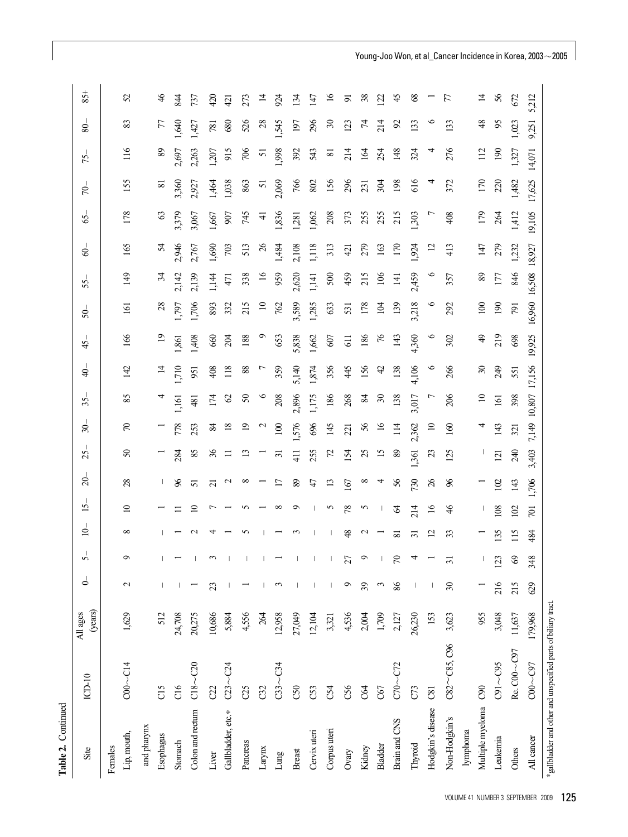| Table 2. Continued                                             |                         |                     |                |                           |                |                  |                 |                  |                  |                  |                |                |                  |                  |                 |               |                |                  |               |                 |
|----------------------------------------------------------------|-------------------------|---------------------|----------------|---------------------------|----------------|------------------|-----------------|------------------|------------------|------------------|----------------|----------------|------------------|------------------|-----------------|---------------|----------------|------------------|---------------|-----------------|
| Site                                                           | $ICD-10$                | (years)<br>All ages | $\overline{a}$ | n                         | $\overline{0}$ | $\overline{15}$  | $\overline{c}$  | 25.              | $\approx$        | 35.              | $\Rightarrow$  | $\frac{4}{5}$  | \$               | 55.              | \$              | 65            | 50             | 75.              | $\frac{8}{ }$ | $85 +$          |
| Females                                                        |                         |                     |                |                           |                |                  |                 |                  |                  |                  |                |                |                  |                  |                 |               |                |                  |               |                 |
| Lip, mouth,                                                    | $COO \sim C14$          | 1,629               | $\mathbf{C}$   | $\circ$                   | $^{\circ}$     | $\overline{10}$  | 28              | $\mathcal{S}$    | $\mathcal{L}$    | 85               | 142            | 166            | 161              | $\overline{49}$  | 165             | 178           | 155            | 116              | 83            | 52              |
| and pharynx                                                    |                         |                     |                |                           |                |                  |                 |                  |                  |                  |                |                |                  |                  |                 |               |                |                  |               |                 |
| Esophagus                                                      | C15                     | 512                 |                |                           |                |                  |                 |                  |                  |                  | $\overline{4}$ | $\overline{5}$ | 28               | z                | 24              | $\mathcal{C}$ | $\infty$       | $89\,$           | 77            | $\frac{4}{6}$   |
| Stomach                                                        | C16                     | 24,708              |                |                           |                |                  | 96              | 284              | 778              | 1,161            | ,710           | 1,861          | 797              | 2,142            | 2,946           | 3,379         | 3,360          | 2,697            | 640           | 844             |
| Colon and rectum                                               | $C18 - C20$             | 20,275              |                |                           | $\sim$         | $\Xi$            | 51              | 85               | 253              | 481              | 951            | 1,408          | 1,706            | 2,139            | 2,767           | 3,067         | 2,927          | 2,263            | 1,427         | 737             |
| Liver                                                          | C22                     | 10,686              | 23             | $\widetilde{\phantom{m}}$ |                |                  | $\overline{c}$  | 36               | 84               | 174              | 408            | 660            | 893              | 1,144            | 1,690           | 1,667         | 1,464          | 1,207            | 781           | 420             |
| Gallbladder, etc.*                                             | $C23 - C24$             | 5,884               |                |                           |                |                  | $\sim$          | Ξ                |                  | $\mathcal{O}$    | 118            | 204            | 332              | 47               | 703             | 907           | 1,038          | 915              | 680           | $\overline{42}$ |
| Pancreas                                                       | C25                     | 4,556               |                |                           | n              | n                |                 | $\Xi$            |                  | $\boldsymbol{S}$ | 88             | 188            | 215              | 338              | 513             | 745           | 863            | 706              | 526           | 273             |
| Larynx                                                         | C32                     | 264                 |                |                           |                |                  |                 |                  |                  | $\circ$          |                |                | $\approx$        | $\geq$           | $\overline{26}$ | $\ddot{=}$    | $\overline{2}$ | 51               | 28            | $\vec{a}$       |
| Lung                                                           | $C33 - C34$             | 12,958              | $\mathfrak{c}$ |                           |                | $^{\circ}$       | $\overline{17}$ | ಸ                | $\overline{100}$ | 208              | 359            | 653            | 762              | 959              | 1,484           | 1,836         | 2,069          | 998              | 545           | 924             |
| <b>Breast</b>                                                  | C50                     | 27,049              |                |                           |                | ਼                | $\,89$          | 41               | 1,576            | 2,896            | 5,140          | 5,838          | 3,589            | 2,620            | 2,108           | 1,281         | 766            | 392              | 197           | 134             |
| Cervix uteri                                                   | C53                     | 12,104              |                |                           |                |                  | 47              | 255              | 696              | 1,175            | 1,874          | 1,662          | 1,285            | 1,141            | 1,118           | 1,062         | 802            | 543              | 296           | 147             |
| Corpus uteri                                                   | C54                     | 3,321               |                |                           |                | S                | 13              | $\mathcal{L}$    | 145              | 186              | 356            | 607            | 633              | 500              | 313             | 208           | 156            | ≅                | $30\,$        | $\tilde{16}$    |
| Ovary                                                          | C56                     | 4,536               | $\circ$        | $\mathbb{Z}$              | 48             | 78               | 167             | 154              | 221              | 268              | 45             | 61             | 531              | 459              | 421             | 373           | 296            | 214              | 123           | 5               |
| Kidney                                                         | C64                     | 2,004               | 39             | $\circ$                   | $\sim$         | S                | $^{\circ}$      | 25               | 56               | Z                | 156            | 186            | 178              | 215              | 279             | 255           | 231            | $\overline{R}$   | 74            | 38              |
| Bladder                                                        | C67                     | $1,709$             | $\omega$       |                           |                |                  | 4               | $\overline{5}$   | $\frac{6}{2}$    | $\mathfrak{S}$   | $\ddot{c}$     | 76             | $\overline{5}$   | $\overline{5}$   | 163             | 255           | 304            | 254              | 214           | 122             |
| Brain and CNS                                                  | C70~C72                 | 2,127               | 86             | $70\,$                    | ವ              | $\mathcal{A}$    | 56              | 89               | 114              | 138              | 138            | 143            | 139              | $\overline{141}$ | 170             | 215           | 198            | 148              | 92            | 45              |
| Thyroid                                                        | C73                     | 26,230              |                | 4                         | $\overline{3}$ | 214              | 730             | 1,361            | 2,362            | 3,017            | 4,106          | 4,360          | 3,218            | 2,459            | 1,924           | 1,303         | 616            | 324              | 133           | $^{68}$         |
| Hodgkin's disease                                              | $\overline{\mathrm{c}}$ | 153                 |                |                           | $\overline{c}$ | $\overline{16}$  | 26              | $\mathfrak{L}$   | $\Xi$            |                  | $\circ$        |                |                  |                  | $\overline{c}$  |               |                |                  |               |                 |
| Non-Hodgkin's                                                  | $C82\sim\!\!C85, C96$   | 3,623               | $30\,$         | $\overline{31}$           | 33             | $\frac{4}{6}$    | $\delta$        | 125              | 160              | 206              | 266            | 302            | 292              | 357              | 413             | 408           | 372            | 276              | 133           | 77              |
| lymphoma                                                       |                         |                     |                |                           |                |                  |                 |                  |                  |                  |                |                |                  |                  |                 |               |                |                  |               |                 |
| Multiple myeloma                                               | C90                     | 955                 |                | $\vert$                   |                |                  |                 |                  |                  | $\overline{10}$  | $30\,$         | $\frac{1}{6}$  | $\overline{100}$ | $89\,$           | 147             | 179           | 170            | 112              | $\frac{8}{3}$ | $\vec{a}$       |
| Leukemia                                                       | $C91 - C95$             | 3,048               | 216            | 123                       | 135            | 108              | 102             | $\overline{121}$ | 143              | 161              | 249            | 219            | 190              | 177              | 279             | 264           | 220            | $\overline{190}$ | 95            | 56              |
| Others                                                         | Re. C00~C97             | 11,637              | 215            | $\circledS$               | 115            | 102              | 143             | 240              | 321              | 398              | 551            | 698            | 791              | 846              | 1,232           | 1,412         | 1,482          | 1,327            | 1,023         | 672             |
| All cancer                                                     | $CO0 - CO7$             | 179,968             | $629$          | 348                       | 484            | $\overline{701}$ | 1,706           | 3,403            | 7,149 10,807     |                  | 17,156         | 19,925         | 16,960           | 16,508           | 18,927          | 19,105        | 17,625         | 14,071           | 9,251         | 5,212           |
| *gallbladder and other and unspecified parts of biliary tract. |                         |                     |                |                           |                |                  |                 |                  |                  |                  |                |                |                  |                  |                 |               |                |                  |               |                 |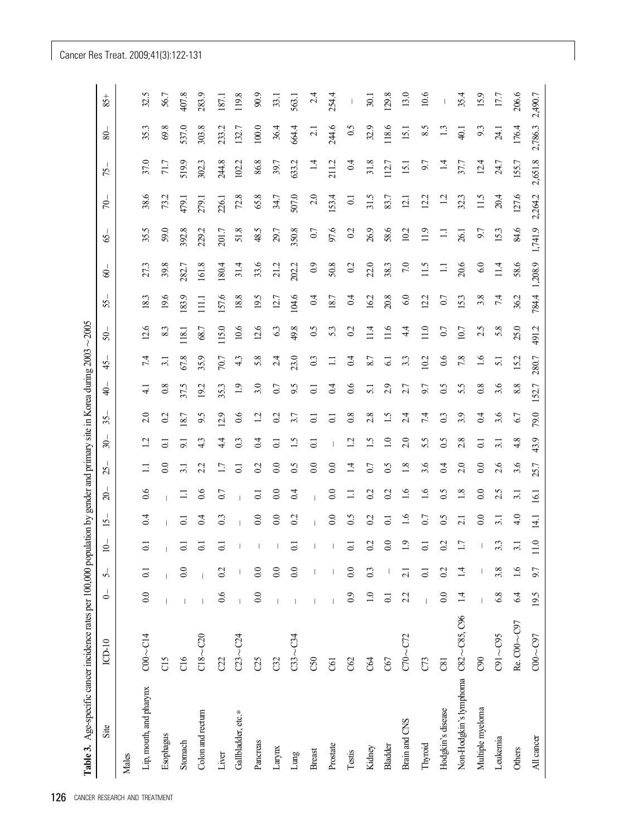| Site                                | $ICD-10$         | $\overline{\phantom{0}}$ | ∽                        | $\overline{0}$   | $\overline{15}$ | $\approx$        | 25.              | $\approx$        | 35             | $\Rightarrow$    | 45.             | \$       | 55.              | $\circledS$ | S,      | 50      | 75.             |         | 80              |
|-------------------------------------|------------------|--------------------------|--------------------------|------------------|-----------------|------------------|------------------|------------------|----------------|------------------|-----------------|----------|------------------|-------------|---------|---------|-----------------|---------|-----------------|
| Males                               |                  |                          |                          |                  |                 |                  |                  |                  |                |                  |                 |          |                  |             |         |         |                 |         |                 |
| Lip, mouth, and pharynx             | $CO0 \sim C14$   | 0.0                      | $\overline{0}$           | $\overline{0}$ . | 0.4             | 0.6              | $\Xi$            | 12               | 2.0            | $\overline{41}$  | 7.4             | 12.6     | 18.3             | 27.3        | 35.5    | 38.6    | 37.0            |         | 35.3            |
| Esophagus                           | C15              |                          |                          |                  | $\overline{1}$  |                  | $\overline{0.0}$ | $\overline{c}$   | 0.2            | 0.8              | 3.1             | 8.3      | 19.6             | 39.8        | 59.0    | 73.2    | 71.7            |         | 69.8            |
| Stomach                             | C16              |                          | 0.0                      | $\overline{0}$ . | $\overline{0}$  | $\Box$           | 3.1              | 9.1              | 18.7           | 37.5             | 67.8            | 118.1    | 183.9            | 282.7       | 392.8   | 479.1   | 519.9           |         | 537.0           |
| Colon and rectum                    | $C18 - C20$      |                          |                          | $\overline{c}$   | $\overline{0}$  | 0.6              | 2.2              | 43               | 9.5            | 19.2             | 35.9            | 68.7     | $\overline{111}$ | 161.8       | 229.2   | 279.1   | 302.3           |         | 303.8           |
| Liver                               | C22              | 0.6                      | 0.2                      | $\overline{0}$ . | 0.3             | 0.7              | 1.7              | 44               | 12.9           | 35.3             | 70.7            | 115.0    | 157.6            | 180.4       | 201.7   | 226.1   | 244.8           | 233.2   |                 |
| Gallbladder, etc.*                  | $C23 - C24$      |                          |                          |                  |                 |                  | $\overline{C}$   | 0.3              | 0.6            | $\overline{1.9}$ | 4.3             | 10.6     | 18.8             | 31.4        | 51.8    | 72.8    | 102.2           | 132.7   |                 |
| Pancreas                            | C25              | 0.0                      | $\overline{0.0}$         |                  | 0.0             | $\overline{0}$   | 0.2              | 0 <sub>4</sub>   | 12             | 3.0              | 5.8             | 12.6     | 19.5             | 33.6        | 48.5    | 65.8    | 86.8            | $100.0$ |                 |
| Larynx                              | C32              |                          | $\odot$                  |                  | 0.0             | $\overline{0.0}$ | 0.0              | $\overline{c}$   | 0.2            | 0.7              | 2.4             | 6.3      | 12.7             | 21.2        | 29.7    | 34.7    | 39.7            | 36.4    |                 |
| Lung                                | $C33 - C34$      |                          | $\overline{0.0}$         | $\overline{c}$   | 0.2             | 0.4              | 0.5              | 1.5              | 3.7            | 9.5              | 23.0            | 49.8     | 104.6            | 202.2       | 350.8   | 507.0   | 633.2           | 664.4   |                 |
| <b>Breast</b>                       | C50              |                          |                          | I                |                 |                  | 0.0              | $\overline{0}$   | $\overline{c}$ | $\overline{c}$   | 0.3             | 0.5      | 0.4              | 0.9         | 0.7     | 2.0     | 14              |         | $\overline{21}$ |
| Prostate                            | <b>G1</b>        |                          |                          |                  | 0.0             | $\overline{0.0}$ | $\overline{0.0}$ |                  | $\overline{c}$ | 0.4              | $\Box$          | 5.3      | 18.7             | 50.8        | 97.6    | 153.4   | 211.2           | 244.6   |                 |
| Testis                              | C62              | $_{0.9}$                 | $\overline{0.0}$         | $\overline{0}$   | 0.5             | $\Xi$            | $\overline{14}$  | $\overline{12}$  | 0.8            | 0.6              | 0.4             | 0.2      | $\overline{0.4}$ | 0.2         | 0.2     | $\Xi$   | 0.4             |         | 0.5             |
| Kidney                              | C <sub>64</sub>  | $1.0$                    | 0.3                      | 0.2              | 0.2             | 0.2              | 0.7              | $\ddot{1.5}$     | 2.8            | 5.1              | 8.7             | 11.4     | 16.2             | 22.0        | 26.9    | 31.5    | 31.8            |         | 32.9            |
| Bladder                             | C67              | $\overline{0}$           |                          | $\overline{0.0}$ | $\overline{0}$  | $\Omega$         | 0.5              | $\overline{1.0}$ | 1.5            | 2.9              | $\overline{61}$ | 11.6     | 20.8             | 38.3        | 58.6    | 83.7    | 112.7           | 118.6   |                 |
| Brain and CNS                       | $C70 - C72$      | 2.2                      | $\overline{\mathcal{N}}$ | 1.9              | 1.6             | $\overline{1.6}$ | 1.8              | 2.0              | 2.4            | 2.7              | 3.3             | $4\cdot$ | 6.0              | 7.0         | 10.2    | 12.1    | 15.1            |         | 15.1            |
| Thyroid                             | $C$ <sup>3</sup> |                          | ె                        | $\overline{0}$   | 0.7             | $\ddot{0}$       | 3.6              | 5.5              | 7.4            | 9.7              | 10.2            | 11.0     | 12.2             | 11.5        | 11.9    | 12.2    | 9.7             |         | 8.5             |
| Hodgkin's disease                   | $\overline{C}81$ | $_{\odot}$               | 0 <sup>2</sup>           | 0.2              | 0.5             | $\mathfrak{S}0$  | 0.4              | $\mathfrak{S}0$  | 0.3            | 0.5              | $\sim$          | 0.7      | 0.7              | $\Xi$       | $\Xi$   | 12      | $\overline{14}$ |         | 13              |
| Non-Hodgkin's lymphoma C82~C85, C96 |                  | $\vec{a}$                | न् =                     | 1.7              | 2.1             | 1.8              | 2.0              | 2.8              | 3.9            | 5.5              | 7.8             | 10.7     | 15.3             | 20.6        | 26.1    | 32.3    | 37.7            | 40.1    |                 |
| Multiple myeloma                    | C90              |                          |                          |                  | $0.0\,$         | $\overline{0.0}$ | 0.0              | $\overline{0}$ . | 0.4            | 0.8              | $\ddot{0}$      | 2.5      | 3.8              | $6.0\,$     | 9.7     | 11.5    | 12.4            |         | 9.3             |
| Leukemia                            | $C91 - C95$      | 6.8                      | 3.8                      | 3.3              | 3.1             | 2.5              | 2.6              | 3.1              | 3.6            | 3.6              | 51              | 5.8      | 7.4              | 11.4        | 15.3    | 20.4    | 24.7            | 24.1    |                 |
| Others                              | Re. C00~C97      | 6.4                      | $\overline{1.6}$         | 3.1              | 4.0             | 3.1              | 3.6              | 4.8              | 6.7            | 8.8              | 15.2            | 25.0     | 36.2             | 58.6        | 84.6    | 127.6   | 155.7           | 176.4   |                 |
| All cancer                          | $CO0 - CO7$      | 19.5                     | 9.7                      | 11.0             | 14.1            | 16.1             | 25.7             | 43.9             | 79.0           | 152.7            | 280.7           | 491.2    | 784.4            | 1,208.9     | 1,741.9 | 2,264.2 | 2,651.8         | 2,786.3 |                 |

Cancer Res Treat. 2009;41(3):122-131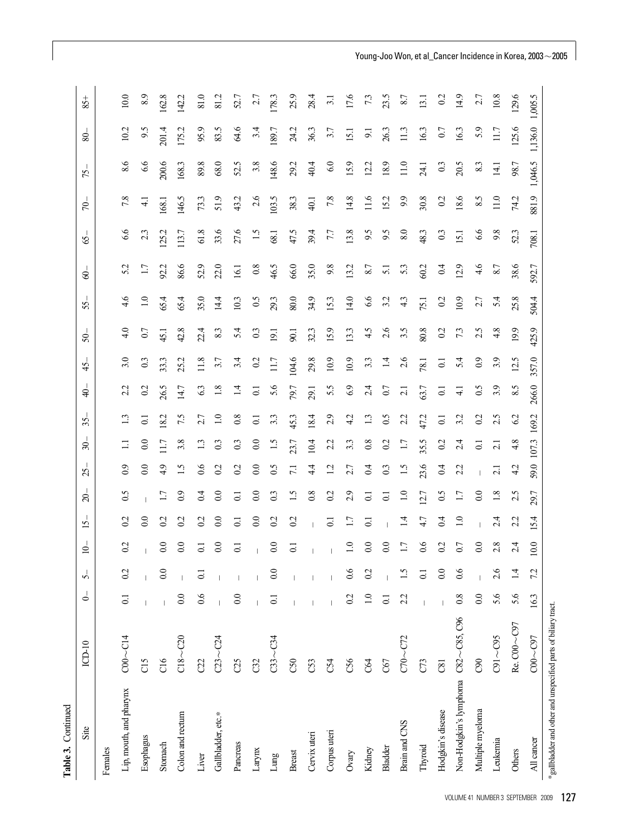| Table 3. Continued                                             |                |                  |                  |                  |                  |                  |                 |                  |                  |                  |                  |       |                  |                 |               |                |         |                |                  |
|----------------------------------------------------------------|----------------|------------------|------------------|------------------|------------------|------------------|-----------------|------------------|------------------|------------------|------------------|-------|------------------|-----------------|---------------|----------------|---------|----------------|------------------|
| Site                                                           | $ICD-10$       | $\circ$          | $\sigma$         | $\overline{0}$   | $\overline{15}$  | $\overline{20}$  | $\mathcal{S}$   | $\approx$        | 35               | $\ddot{=}$       | 45 <sub>1</sub>  | $50-$ | 55.              | $-00$           | $\mathcal{S}$ | $\approx$      | 75.     | 80             | 85+              |
| Females                                                        |                |                  |                  |                  |                  |                  |                 |                  |                  |                  |                  |       |                  |                 |               |                |         |                |                  |
| Lip, mouth, and pharynx                                        | $CO0 \sim C14$ | $\overline{C}$   | 0.2              | $\overline{0}$   | $\overline{0}$   | $\mathfrak{S}$   | $^{0.9}$        | $\Xi$            | 13               | 2.2              | 3.0              | 4.0   | 4.6              | 5.2             | 6.6           | 7.8            | 8.6     | 10.2           | 10.0             |
| Esophagus                                                      | C15            |                  |                  |                  | 0.0              |                  | 0.0             | 0.0              | $\overline{c}$   | $\overline{0}$   | 0.3              | 0.7   | $\overline{1.0}$ | 1.7             | 2.3           | $\overline{4}$ | 6.6     | 9.5            | 8.9              |
| Stomach                                                        | C16            |                  | 0.0              | $0.0\,$          | 0.2              | 1.7              | 4.9             | 11.7             | 18.2             | 26.5             | 33.3             | 45.1  | 65.4             | 92.2            | 125.2         | 168.1          | 200.6   | 201.4          | 162.8            |
| Colon and rectum                                               | $C18 - C20$    | $\overline{0.0}$ |                  | $\overline{0.0}$ | 0.2              | $_{0.9}$         | $\ddot{1.5}$    | 3.8              | 7.5              | 14.7             | 25.2             | 42.8  | 65.4             | 86.6            | 113.7         | 146.5          | 168.3   | 175.2          | 142.2            |
| Liver                                                          | C22            | 0.6              | ದ                | $\overline{c}$   | 0.2              | 0.4              | 0.6             |                  | 2.7              | 63               | 11.8             | 22.4  | 35.0             | 52.9            | 61.8          | 73.3           | 89.8    | 95.9           | 81.0             |
| Gallbladder, etc.*                                             | $C23 - C24$    |                  |                  | $_{\odot}$       | 0.0              | $\overline{0.0}$ | 0.2             | 0.3              | $\overline{1.0}$ | 1.8              | 3.7              | 8.3   | 14.4             | 22.0            | 33.6          | 51.9           | 68.0    | 83.5           | 81.2             |
| Pancreas                                                       | C25            | 0.0              |                  | $\Xi$            | $\overline{C}$   | $\overline{C}$   | 0.2             | 0.3              | 0.8              | $\vec{a}$        | 3.4              | 5.4   | 10.3             | 16.1            | 27.6          | 43.2           | 52.5    | 64.6           | 52.7             |
| Larynx                                                         | C32            |                  |                  |                  | 0.0              | 0.0              | 0.0             | 0.0              | $\overline{0}$   | $\overline{0}$ . | 0.2              | 0.3   | 0.5              | 0.8             | $\ddot{.}$    | 2.6            | 3.8     | 3.4            | 27               |
| Lung                                                           | $C33 - C34$    | $\overline{0}$ . | $_{\rm 0.0}$     | 0.0              | 0.2              | 0 <sup>3</sup>   | 0.5             | 1.5              | 3.3              | 5.6              | 11.7             | 19.1  | 29.3             | 46.5            | 68.1          | 103.5          | 148.6   | 189.7          | 178.3            |
| <b>Breast</b>                                                  | C50            |                  |                  | $\overline{0}$   | 02               | 1.5              | $\overline{71}$ | 23.7             | 45.3             | 79.7             | 104.6            | 90.1  | 80.0             | 66.0            | 47.5          | 38.3           | 29.2    | 24.2           | 25.9             |
| Cervix uteri                                                   | C53            |                  |                  | $\mathbf{I}$     | $\mathbf{I}$     | 0.8              | 44              | 10.4             | 18.4             | 29.1             | 29.8             | 32.3  | 34.9             | 35.0            | 39.4          | 40.1           | 40.4    | 36.3           | 28.4             |
| Corpus uteri                                                   | C54            |                  |                  | $\mathbf{I}$     | $\overline{0}$   | 0.2              | 12              | 2.2              | 2.9              | 5.5              | 10.9             | 15.9  | 15.3             | 9.8             | 7.7           | 7.8            | $6.0\,$ | 3.7            | $\overline{3}$ . |
| Ovary                                                          | C56            | 0.2              | $\rm ^{80}$      | $\overline{1.0}$ | 1.7              | 2.9              | 2.7             | 3.3              | 42               | 6.9              | 10.9             | 13.3  | 14.0             | 13.2            | 13.8          | 14.8           | 15.9    | 15.1           | 17.6             |
| Kidney                                                         | C64            | $\frac{0}{1}$    | $\overline{0.2}$ | $0.0\,$          | $\overline{c}$   | $\overline{0}$   | 0.4             | 0.8              | 1.3              | 2.4              | 3.3              | 4.5   | 9.9              | 8.7             | 6.6           | 11.6           | 12.2    | $\overline{9}$ | 73               |
| Bladder                                                        | C67            | $\overline{c}$   |                  | $_{\odot}$       |                  | $\overline{0}$   | 0.3             | 0.2              | $\overline{0.5}$ | 0.7              | $\overline{14}$  | 2.6   | 3.2              | $\overline{51}$ | 9.5           | 15.2           | 18.9    | 26.3           | 23.5             |
| Brain and CNS                                                  | $C70 - C72$    | 2.2              | $\ddot{ }$       | 1.7              | $\overline{14}$  | $\overline{1.0}$ | 1.5             | 1.7              | 22               | $\overline{c}$   | 2.6              | 3.5   | 4.3              | 53              | $8.0\,$       | 9.9            | 11.0    | 11.3           | 8.7              |
| Thyroid                                                        | C73            |                  | $\Xi$            | $0.6\,$          | 47               | 12.7             | 23.6            | 35.5             | 47.2             | 63.7             | 78.1             | 80.8  | 75.1             | 60.2            | 48.3          | 30.8           | 24.1    | 16.3           | 13.1             |
| Hodgkin's disease                                              | C81            |                  | $\overline{0.0}$ | $\overline{02}$  | 0 <sub>4</sub>   | 0.5              | 0 <sub>4</sub>  | 0.2              | $\Xi$            | $\overline{0}$ . | $\overline{0}$ . | 0.2   | 0.2              | 0.4             | 0.3           | 0.2            | 0.3     | 0.7            | $\overline{0}$   |
| Non-Hodgkin's lymphoma C82~C85, C96                            |                | 0.8              | 0.6              | 0.7              | $\overline{1.0}$ | 1.7              | 2.2             | 2.4              | 3.2              | $\overline{41}$  | 5.4              | 73    | 10.9             | 12.9            | 15.1          | 18.6           | 20.5    | 16.3           | 14.9             |
| Multiple myeloma                                               | C90            | $0.0\,$          |                  | $\overline{0.0}$ |                  | 0.0              |                 | $\overline{0}$ . | 0.2              | 0.5              | $_{0.9}$         | 2.5   | 2.7              | 4.6             | 6.6           | 8.5            | 8.3     | 5.9            | 2.7              |
| Leukemia                                                       | $C91 - C95$    | 5.6              | 2.6              | 2.8              | 2.4              | $1.8\,$          | $\overline{c}$  | 2.1              | 2.5              | 3.9              | 3.9              | 4.8   | 5.4              | 8.7             | 9.8           | 11.0           | 14.1    | 117            | 10.8             |
| Others                                                         | Re. C00~C97    | 5.6              | $\vec{4}$        | 2.4              | 2.2              | 2.5              | 4.2             | 4.8              | 62               | 8.5              | 12.5             | 19.9  | 25.8             | 38.6            | 52.3          | 74.2           | 98.7    | 125.6          | 129.6            |
| All cancer                                                     | $CO0 - CO7$    | 16.3             | 7.2              | 10.0             | 15.4             | 29.7             | 59.0            | 107.3            | 169.2            | 266.0            | 357.0            | 425.9 | 504.4            | 592.7           | 708.1         | 881.9          | 1,046.5 | 1,136.0        | 1,005.5          |
| *gallbladder and other and unspecified parts of biliary tract. |                |                  |                  |                  |                  |                  |                 |                  |                  |                  |                  |       |                  |                 |               |                |         |                |                  |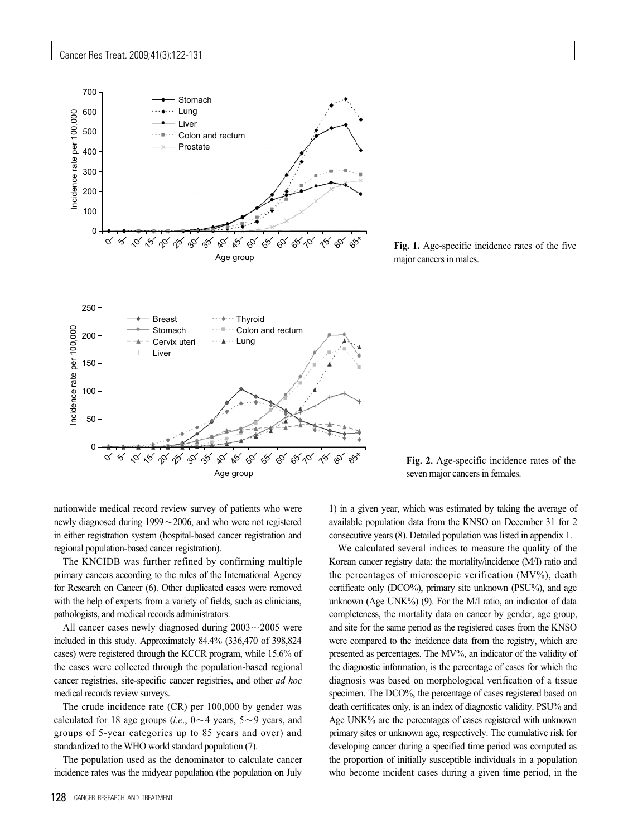Cancer Res Treat. 2009;41(3):122-131



**Fig. 1.** Age-specific incidence rates of the five major cancers in males.

seven major cancers in females.

**Fig. 2.** Age-specific incidence rates of the

nationwide medical record review survey of patients who were newly diagnosed during  $1999\sim 2006$ , and who were not registered in either registration system (hospital-based cancer registration and regional population-based cancer registration).

The KNCIDB was further refined by confirming multiple primary cancers according to the rules of the International Agency for Research on Cancer (6). Other duplicated cases were removed with the help of experts from a variety of fields, such as clinicians, pathologists, and medical records administrators.

All cancer cases newly diagnosed during  $2003 \sim 2005$  were included in this study. Approximately 84.4% (336,470 of 398,824 cases) were registered through the KCCR program, while 15.6% of the cases were collected through the population-based regional cancer registries, site-specific cancer registries, and other *ad hoc* medical records review surveys.

The crude incidence rate (CR) per 100,000 by gender was calculated for 18 age groups (*i.e.*,  $0 \sim 4$  years,  $5 \sim 9$  years, and groups of 5-year categories up to 85 years and over) and standardized to the WHO world standard population (7).

The population used as the denominator to calculate cancer incidence rates was the midyear population (the population on July

1) in a given year, which was estimated by taking the average of available population data from the KNSO on December 31 for 2 consecutive years (8). Detailed population was listed in appendix 1.

We calculated several indices to measure the quality of the Korean cancer registry data: the mortality/incidence (M/I) ratio and the percentages of microscopic verification (MV%), death certificate only (DCO%), primary site unknown (PSU%), and age unknown (Age UNK%) (9). For the M/I ratio, an indicator of data completeness, the mortality data on cancer by gender, age group, and site for the same period as the registered cases from the KNSO were compared to the incidence data from the registry, which are presented as percentages. The MV%, an indicator of the validity of the diagnostic information, is the percentage of cases for which the diagnosis was based on morphological verification of a tissue specimen. The DCO%, the percentage of cases registered based on death certificates only, is an index of diagnostic validity. PSU% and Age UNK% are the percentages of cases registered with unknown primary sites or unknown age, respectively. The cumulative risk for developing cancer during a specified time period was computed as the proportion of initially susceptible individuals in a population who become incident cases during a given time period, in the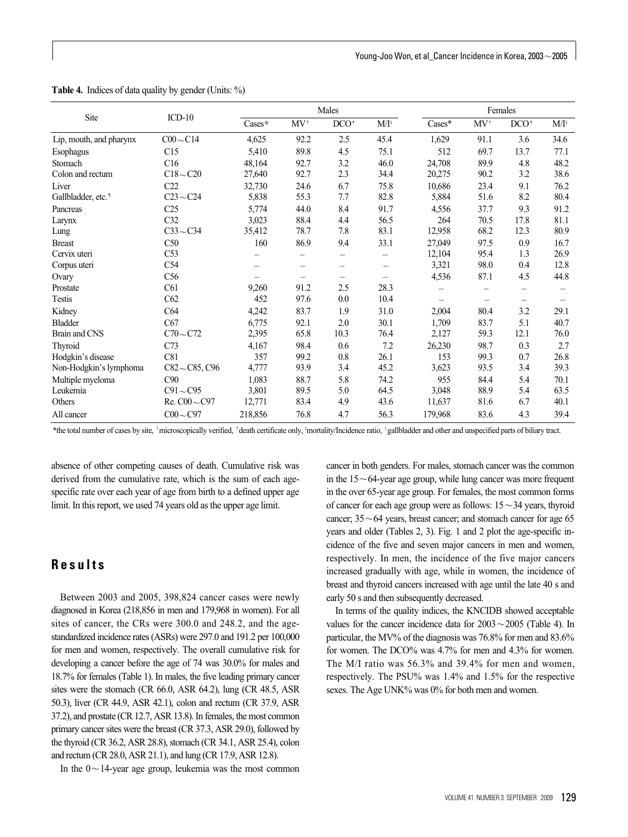|                                |                        |         |                | Males                    |         |                          | Females        |         |                          |
|--------------------------------|------------------------|---------|----------------|--------------------------|---------|--------------------------|----------------|---------|--------------------------|
| Site                           | $ICD-10$               | Cases*  | $MV^{\dagger}$ | DCO <sup>†</sup>         | $M/I^s$ | $\text{Cases}^*$         | $MV^{\dagger}$ | $DCO^+$ | $M/I^s$                  |
| Lip, mouth, and pharynx        | $C00 \sim C14$         | 4,625   | 92.2           | 2.5                      | 45.4    | 1,629                    | 91.1           | 3.6     | 34.6                     |
| Esophagus                      | C15                    | 5,410   | 89.8           | 4.5                      | 75.1    | 512                      | 69.7           | 13.7    | 77.1                     |
| Stomach                        | C16                    | 48,164  | 92.7           | 3.2                      | 46.0    | 24,708                   | 89.9           | 4.8     | 48.2                     |
| Colon and rectum               | $C18 - C20$            | 27,640  | 92.7           | 2.3                      | 34.4    | 20,275                   | 90.2           | 3.2     | 38.6                     |
| Liver                          | C22                    | 32,730  | 24.6           | 6.7                      | 75.8    | 10,686                   | 23.4           | 9.1     | 76.2                     |
| Gallbladder, etc. <sup>1</sup> | $C23 - C24$            | 5,838   | 55.3           | 7.7                      | 82.8    | 5,884                    | 51.6           | 8.2     | 80.4                     |
| Pancreas                       | C <sub>25</sub>        | 5,774   | 44.0           | 8.4                      | 91.7    | 4,556                    | 37.7           | 9.3     | 91.2                     |
| Larynx                         | C32                    | 3,023   | 88.4           | 4.4                      | 56.5    | 264                      | 70.5           | 17.8    | 81.1                     |
| Lung                           | $C33 \sim C34$         | 35,412  | 78.7           | 7.8                      | 83.1    | 12,958                   | 68.2           | 12.3    | 80.9                     |
| <b>Breast</b>                  | C50                    | 160     | 86.9           | 9.4                      | 33.1    | 27,049                   | 97.5           | 0.9     | 16.7                     |
| Cervix uteri                   | C <sub>53</sub>        | -       | —              | $\overline{\phantom{0}}$ |         | 12,104                   | 95.4           | 1.3     | 26.9                     |
| Corpus uteri                   | C <sub>54</sub>        | -       | -              | -                        | -       | 3,321                    | 98.0           | 0.4     | 12.8                     |
| Ovary                          | C56                    |         |                | $\qquad \qquad -$        |         | 4,536                    | 87.1           | 4.5     | 44.8                     |
| Prostate                       | C61                    | 9,260   | 91.2           | 2.5                      | 28.3    |                          | -              | -       | $\overline{\phantom{m}}$ |
| <b>Testis</b>                  | C62                    | 452     | 97.6           | 0.0                      | 10.4    | $\overline{\phantom{0}}$ | -              | -       |                          |
| Kidney                         | C <sub>64</sub>        | 4,242   | 83.7           | 1.9                      | 31.0    | 2,004                    | 80.4           | 3.2     | 29.1                     |
| <b>Bladder</b>                 | C67                    | 6,775   | 92.1           | $2.0\,$                  | 30.1    | 1,709                    | 83.7           | 5.1     | 40.7                     |
| Brain and CNS                  | $C70 \sim C72$         | 2,395   | 65.8           | 10.3                     | 76.4    | 2,127                    | 59.3           | 12.1    | 76.0                     |
| Thyroid                        | C73                    | 4,167   | 98.4           | 0.6                      | 7.2     | 26,230                   | 98.7           | 0.3     | 2.7                      |
| Hodgkin's disease              | C81                    | 357     | 99.2           | $0.8\,$                  | 26.1    | 153                      | 99.3           | 0.7     | 26.8                     |
| Non-Hodgkin's lymphoma         | $C82 \sim C85$ , $C96$ | 4,777   | 93.9           | 3.4                      | 45.2    | 3,623                    | 93.5           | 3.4     | 39.3                     |
| Multiple myeloma               | C90                    | 1,083   | 88.7           | 5.8                      | 74.2    | 955                      | 84.4           | 5.4     | 70.1                     |
| Leukemia                       | $C91 \sim C95$         | 3,801   | 89.5           | 5.0                      | 64.5    | 3,048                    | 88.9           | 5.4     | 63.5                     |
| Others                         | Re. $C00 \sim C97$     | 12,771  | 83.4           | 4.9                      | 43.6    | 11,637                   | 81.6           | 6.7     | 40.1                     |
| All cancer                     | $C00 \sim C97$         | 218,856 | 76.8           | 4.7                      | 56.3    | 179,968                  | 83.6           | 4.3     | 39.4                     |

**Table 4.** Indices of data quality by gender (Units: %)

\*the total number of cases by site, †microscopically verified, †death certificate only, §mortality/Incidence ratio, |gallbladder and other and unspecified parts of biliary tract.

absence of other competing causes of death. Cumulative risk was derived from the cumulative rate, which is the sum of each agespecific rate over each year of age from birth to a defined upper age limit. In this report, we used 74 years old as the upper age limit.

# **Results**

Between 2003 and 2005, 398,824 cancer cases were newly diagnosed in Korea (218,856 in men and 179,968 in women). For all sites of cancer, the CRs were 300.0 and 248.2, and the agestandardized incidence rates (ASRs) were 297.0 and 191.2 per 100,000 for men and women, respectively. The overall cumulative risk for developing a cancer before the age of 74 was 30.0% for males and 18.7% for females (Table 1). In males, the five leading primary cancer sites were the stomach (CR 66.0, ASR 64.2), lung (CR 48.5, ASR 50.3), liver (CR 44.9, ASR 42.1), colon and rectum (CR 37.9, ASR 37.2), and prostate (CR 12.7, ASR 13.8). In females, the most common primary cancer sites were the breast (CR 37.3, ASR 29.0), followed by the thyroid (CR 36.2, ASR 28.8), stomach (CR 34.1, ASR 25.4), colon and rectum (CR 28.0, ASR 21.1), and lung (CR 17.9, ASR 12.8).

In the  $0 \sim 14$ -year age group, leukemia was the most common

cancer in both genders. For males, stomach cancer was the common in the  $15 \sim 64$ -year age group, while lung cancer was more frequent in the over 65-year age group. For females, the most common forms of cancer for each age group were as follows:  $15\sim34$  years, thyroid cancer;  $35 \sim 64$  years, breast cancer; and stomach cancer for age 65 years and older (Tables 2, 3). Fig. 1 and 2 plot the age-specific incidence of the five and seven major cancers in men and women, respectively. In men, the incidence of the five major cancers increased gradually with age, while in women, the incidence of breast and thyroid cancers increased with age until the late 40 s and early 50 s and then subsequently decreased.

In terms of the quality indices, the KNCIDB showed acceptable values for the cancer incidence data for  $2003\sim 2005$  (Table 4). In particular, the MV% of the diagnosis was 76.8% for men and 83.6% for women. The DCO% was 4.7% for men and 4.3% for women. The M/I ratio was 56.3% and 39.4% for men and women, respectively. The PSU% was 1.4% and 1.5% for the respective sexes. The Age UNK% was 0% for both men and women.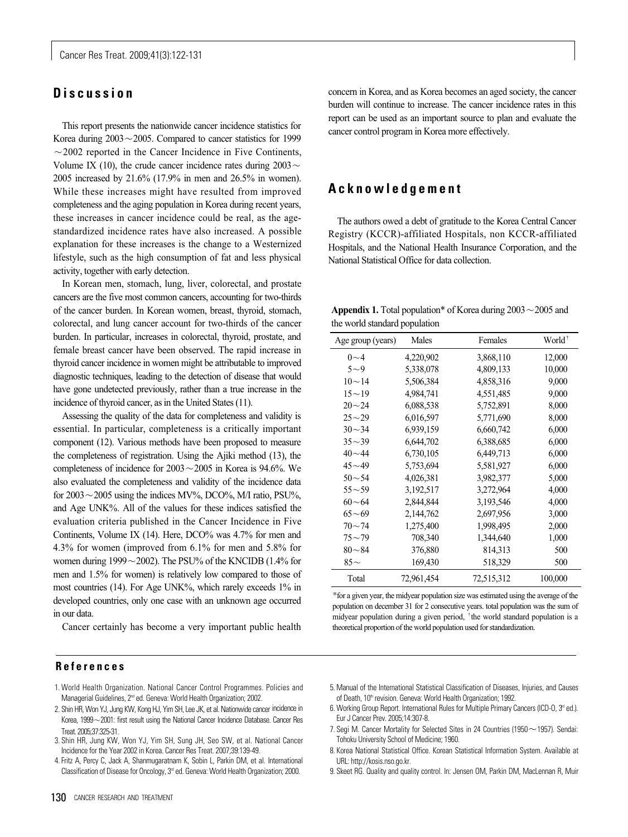# **Discussion**

This report presents the nationwide cancer incidence statistics for Korea during  $2003 \sim 2005$ . Compared to cancer statistics for 1999  $\sim$  2002 reported in the Cancer Incidence in Five Continents, Volume IX (10), the crude cancer incidence rates during  $2003 \sim$ 2005 increased by 21.6% (17.9% in men and 26.5% in women). While these increases might have resulted from improved completeness and the aging population in Korea during recent years, these increases in cancer incidence could be real, as the agestandardized incidence rates have also increased. A possible explanation for these increases is the change to a Westernized lifestyle, such as the high consumption of fat and less physical activity, together with early detection.

In Korean men, stomach, lung, liver, colorectal, and prostate cancers are the five most common cancers, accounting for two-thirds of the cancer burden. In Korean women, breast, thyroid, stomach, colorectal, and lung cancer account for two-thirds of the cancer burden. In particular, increases in colorectal, thyroid, prostate, and female breast cancer have been observed. The rapid increase in thyroid cancer incidence in women might be attributable to improved diagnostic techniques, leading to the detection of disease that would have gone undetected previously, rather than a true increase in the incidence of thyroid cancer, as in the United States (11).

Assessing the quality of the data for completeness and validity is essential. In particular, completeness is a critically important component (12). Various methods have been proposed to measure the completeness of registration. Using the Ajiki method (13), the completeness of incidence for  $2003\sim 2005$  in Korea is 94.6%. We also evaluated the completeness and validity of the incidence data for  $2003\sim$  2005 using the indices MV%, DCO%, M/I ratio, PSU%, and Age UNK%. All of the values for these indices satisfied the evaluation criteria published in the Cancer Incidence in Five Continents, Volume IX (14). Here, DCO% was 4.7% for men and 4.3% for women (improved from 6.1% for men and 5.8% for women during  $1999 \sim 2002$ ). The PSU% of the KNCIDB (1.4% for men and 1.5% for women) is relatively low compared to those of most countries (14). For Age UNK%, which rarely exceeds 1% in developed countries, only one case with an unknown age occurred in our data.

Cancer certainly has become a very important public health

concern in Korea, and as Korea becomes an aged society, the cancer burden will continue to increase. The cancer incidence rates in this report can be used as an important source to plan and evaluate the cancer control program in Korea more effectively.

## **Acknowledgement**

The authors owed a debt of gratitude to the Korea Central Cancer Registry (KCCR)-affiliated Hospitals, non KCCR-affiliated Hospitals, and the National Health Insurance Corporation, and the National Statistical Office for data collection.

**Appendix 1.** Total population\* of Korea during  $2003 \sim 2005$  and the world standard population

| Age group (years) | Males      | Females    | World <sup>†</sup> |
|-------------------|------------|------------|--------------------|
| $0 - 4$           | 4,220,902  | 3,868,110  | 12,000             |
| $5\sim9$          | 5,338,078  | 4,809,133  | 10,000             |
| $10 \sim 14$      | 5,506,384  | 4,858,316  | 9,000              |
| $15 - 19$         | 4,984,741  | 4,551,485  | 9,000              |
| $20 - 24$         | 6,088,538  | 5,752,891  | 8,000              |
| $25 - 29$         | 6,016,597  | 5,771,690  | 8,000              |
| $30 - 34$         | 6,939,159  | 6,660,742  | 6,000              |
| $35 - 39$         | 6,644,702  | 6,388,685  | 6,000              |
| $40 - 44$         | 6,730,105  | 6,449,713  | 6,000              |
| $45 - 49$         | 5,753,694  | 5,581,927  | 6,000              |
| $50 - 54$         | 4,026,381  | 3,982,377  | 5,000              |
| $55 - 59$         | 3,192,517  | 3,272,964  | 4,000              |
| $60 - 64$         | 2,844,844  | 3,193,546  | 4,000              |
| $65 - 69$         | 2,144,762  | 2,697,956  | 3,000              |
| $70 - 74$         | 1,275,400  | 1,998,495  | 2,000              |
| $75 - 79$         | 708,340    | 1,344,640  | 1,000              |
| $80 - 84$         | 376,880    | 814,313    | 500                |
| $85-$             | 169,430    | 518,329    | 500                |
| Total             | 72,961,454 | 72,515,312 | 100,000            |

\*for a given year, the midyear population size was estimated using the average of the population on december 31 for 2 consecutive years. total population was the sum of midyear population during a given period,  $<sup>†</sup>$  the world standard population is a</sup> theoretical proportion of the world population used for standardization.

## **References**

- 1. World Health Organization. National Cancer Control Programmes. Policies and Managerial Guidelines, 2<sup>nd</sup> ed. Geneva: World Health Organization; 2002.
- 2. Shin HR, Won YJ, Jung KW, Kong HJ, Yim SH, Lee JK, et al. Nationwide cancer incidence in Korea, 1999~2001: first result using the National Cancer Incidence Database. Cancer Res Treat. 2005;37:325-31.
- 3. Shin HR, Jung KW, Won YJ, Yim SH, Sung JH, Seo SW, et al. National Cancer Incidence for the Year 2002 in Korea. Cancer Res Treat. 2007;39:139-49.
- 4. Fritz A, Percy C, Jack A, Shanmugaratnam K, Sobin L, Parkin DM, et al. International Classification of Disease for Oncology, 3<sup>rd</sup> ed. Geneva: World Health Organization; 2000.
- 5. Manual of the International Statistical Classification of Diseases, Injuries, and Causes of Death, 10<sup>th</sup> revision. Geneva: World Health Organization: 1992.
- 6. Working Group Report. International Rules for Multiple Primary Cancers (ICD-O, 3<sup>d</sup> ed.). Eur J Cancer Prev. 2005;14:307-8.
- 7. Segi M. Cancer Mortality for Selected Sites in 24 Countries (1950 $\sim$ 1957). Sendai: Tohoku University School of Medicine; 1960.
- 8. Korea National Statistical Office. Korean Statistical Information System. Available at URL: http://kosis.nso.go.kr.
- 9. Skeet RG. Quality and quality control. In: Jensen OM, Parkin DM, MacLennan R, Muir